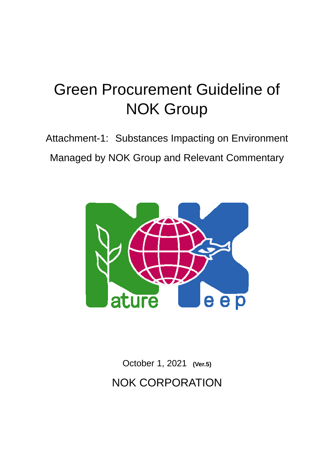# Green Procurement Guideline of NOK Group

Attachment-1: Substances Impacting on Environment Managed by NOK Group and Relevant Commentary



October 1, 2021 **(Ver.5)** NOK CORPORATION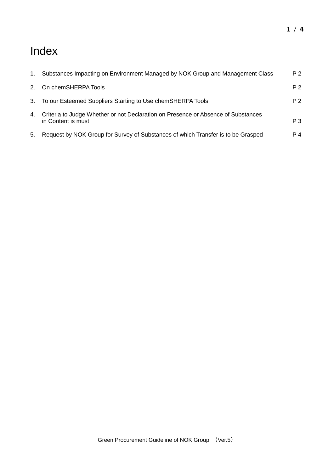## Index

| 1.          | Substances Impacting on Environment Managed by NOK Group and Management Class                           | P <sub>2</sub> |
|-------------|---------------------------------------------------------------------------------------------------------|----------------|
| $2^{\circ}$ | On chemSHERPA Tools                                                                                     | P 2            |
|             | 3. To our Esteemed Suppliers Starting to Use chemSHERPA Tools                                           | P 2            |
| 4.          | Criteria to Judge Whether or not Declaration on Presence or Absence of Substances<br>in Content is must | P <sub>3</sub> |
| 5.          | Request by NOK Group for Survey of Substances of which Transfer is to be Grasped                        | P 4            |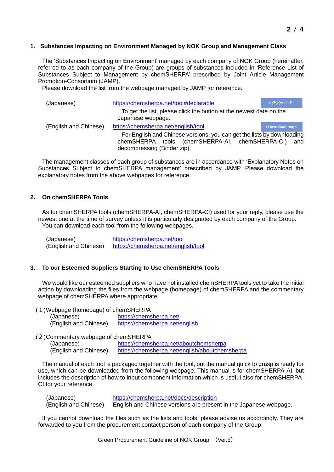#### **1. Substances Impacting on Environment Managed by NOK Group and Management Class**

The 'Substances Impacting on Environment' managed by each company of NOK Group (hereinafter, referred to as each company of the Group) are groups of substances included in 'Reference List of Substances Subject to Management by chemSHERPA' prescribed by Joint Article Management Promotion-Consortium (JAMP).

Please download the list from the webpage managed by JAMP for reference.

| (Japanese)            | https://chemsherpa.net/tool#declarable                                                                                                                       | ▶ダウンロード       |  |  |
|-----------------------|--------------------------------------------------------------------------------------------------------------------------------------------------------------|---------------|--|--|
|                       | To get the list, please click the button at the newest date on the<br>Japanese webpage.                                                                      |               |  |  |
| (English and Chinese) | https://chemsherpa.net/english/tool                                                                                                                          | Download page |  |  |
|                       | For English and Chinese versions, you can get the lists by downloading<br>chemSHERPA tools (chemSHERPA-AI, chemSHERPA-CI) and<br>decompressing (Binder zip). |               |  |  |

The management classes of each group of substances are in accordance with 'Explanatory Notes on Substances Subject to chemSHERPA management' prescribed by JAMP. Please download the explanatory notes from the above webpages for reference.

#### **2. On chemSHERPA Tools**

As for chemSHERPA tools (chemSHERPA-AI, chemSHERPA-CI) used for your reply, please use the newest one at the time of survey unless it is particularly designated by each company of the Group. You can download each tool from the following webpages.

| (Japanese)            | https://chemsherpa.net/tool         |
|-----------------------|-------------------------------------|
| (English and Chinese) | https://chemsherpa.net/english/tool |

#### **3. To our Esteemed Suppliers Starting to Use chemSHERPA Tools**

We would like our esteemed suppliers who have not installed chemSHERPA tools yet to take the initial action by downloading the files from the webpage (homepage) of chemSHERPA and the commentary webpage of chemSHERPA where appropriate.

(1)Webpage (homepage) of chemSHERPA

| (Japanese)            | https://chemsherpa.net/        |
|-----------------------|--------------------------------|
| (English and Chinese) | https://chemsherpa.net/english |

(2)Commentary webpage of chemSHERPA

(Japanese) <https://chemsherpa.net/aboutchemsherpa> (English and Chinese) <https://chemsherpa.net/english/aboutchemsherpa>

The manual of each tool is packaged together with the tool, but the manual quick to grasp is ready for use, which can be downloaded from the following webpage. This manual is for chemSHERPA-AI, but includes the description of how to input component information which is useful also for chemSHERPA-CI for your reference.

| (Japanese)            | https://chemsherpa.net/docs/description                           |
|-----------------------|-------------------------------------------------------------------|
| (English and Chinese) | English and Chinese versions are present in the Japanese webpage. |

If you cannot download the files such as the lists and tools, please advise us accordingly. They are forwarded to you from the procurement contact person of each company of the Group.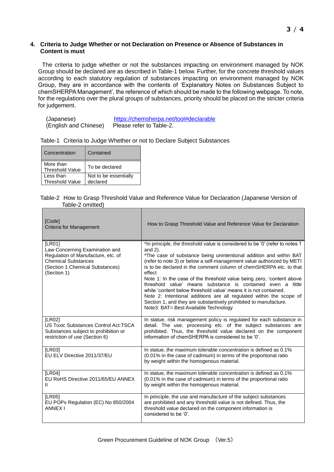#### **4. Criteria to Judge Whether or not Declaration on Presence or Absence of Substances in Content is must**

The criteria to judge whether or not the substances impacting on environment managed by NOK Group should be declared are as described in Table-1 below. Further, for the concrete threshold values according to each statutory regulation of substances impacting on environment managed by NOK Group, they are in accordance with the contents of 'Explanatory Notes on Substances Subject to chemSHERPA Management', the reference of which should be made to the following webpage. To note, for the regulations over the plural groups of substances, priority should be placed on the stricter criteria for judgement.

| (Japanese)            | https://chemsherpa.net/tool#declarable |
|-----------------------|----------------------------------------|
| (English and Chinese) | Please refer to Table-2.               |

|  |  |  |  | Table-1 Criteria to Judge Whether or not to Declare Subject Substances |
|--|--|--|--|------------------------------------------------------------------------|
|--|--|--|--|------------------------------------------------------------------------|

| Contained             |
|-----------------------|
| To be declared        |
| Not to be essentially |
| declared              |

#### Table-2 How to Grasp Threshold Value and Reference Value for Declaration (Japanese Version of Table-2 omitted)

| [Code]<br>Criteria for Management                                                                                                                              | How to Grasp Threshold Value and Reference Value for Declaration                                                                                                                                                                                                                                                                                                                                                                                                                                                                                                                                                                                                                                                          |
|----------------------------------------------------------------------------------------------------------------------------------------------------------------|---------------------------------------------------------------------------------------------------------------------------------------------------------------------------------------------------------------------------------------------------------------------------------------------------------------------------------------------------------------------------------------------------------------------------------------------------------------------------------------------------------------------------------------------------------------------------------------------------------------------------------------------------------------------------------------------------------------------------|
| [LR01]<br>Law Concerning Examination and<br>Regulation of Manufacture, etc. of<br><b>Chemical Substances</b><br>(Section 1 Chemical Substances)<br>(Section 1) | *In principle, the threshold value is considered to be '0' (refer to notes 1<br>and $2$ ).<br>*The case of substance being unintentional addition and within BAT<br>(refer to note 3) or below a self-management value authorized by METI<br>is to be declared in the comment column of chemSHERPA etc. to that<br>effect<br>Note 1: In the case of the threshold value being zero, 'content above<br>threshold value' means substance is contained even a little<br>while 'content below threshold value' means it is not contained.<br>Note 2: Intentional additions are all regulated within the scope of<br>Section 1, and they are substantively prohibited to manufacture.<br>Note3: BAT= Best Available Technology |
| [LR02]<br>US Toxic Substances Control Act: TSCA<br>Substances subject to prohibition or<br>restriction of use (Section 6)                                      | In statue, risk management policy is regulated for each substance in<br>detail. The use, processing etc. of the subject substances are<br>prohibited. Thus, the threshold value declared on the component<br>information of chemSHERPA is considered to be '0'.                                                                                                                                                                                                                                                                                                                                                                                                                                                           |
| [LR03]<br>EU ELV Directive 2011/37/EU                                                                                                                          | In statue, the maximum tolerable concentration is defined as 0.1%<br>(0.01% in the case of cadmium) in terms of the proportional ratio<br>by weight within the homogenous material.                                                                                                                                                                                                                                                                                                                                                                                                                                                                                                                                       |
| [LR04]<br>EU RoHS Directive 2011/65/EU ANNEX<br>$\mathbf{I}$                                                                                                   | In statue, the maximum tolerable concentration is defined as 0.1%<br>(0.01% in the case of cadmium) in terms of the proportional ratio<br>by weight within the homogenous material.                                                                                                                                                                                                                                                                                                                                                                                                                                                                                                                                       |
| [LR05]<br>EU POPs Regulation (EC) No 850/2004<br><b>ANNEX I</b>                                                                                                | In principle, the use and manufacture of the subject substances<br>are prohibited and any threshold value is not defined. Thus, the<br>threshold value declared on the component information is<br>considered to be '0'.                                                                                                                                                                                                                                                                                                                                                                                                                                                                                                  |